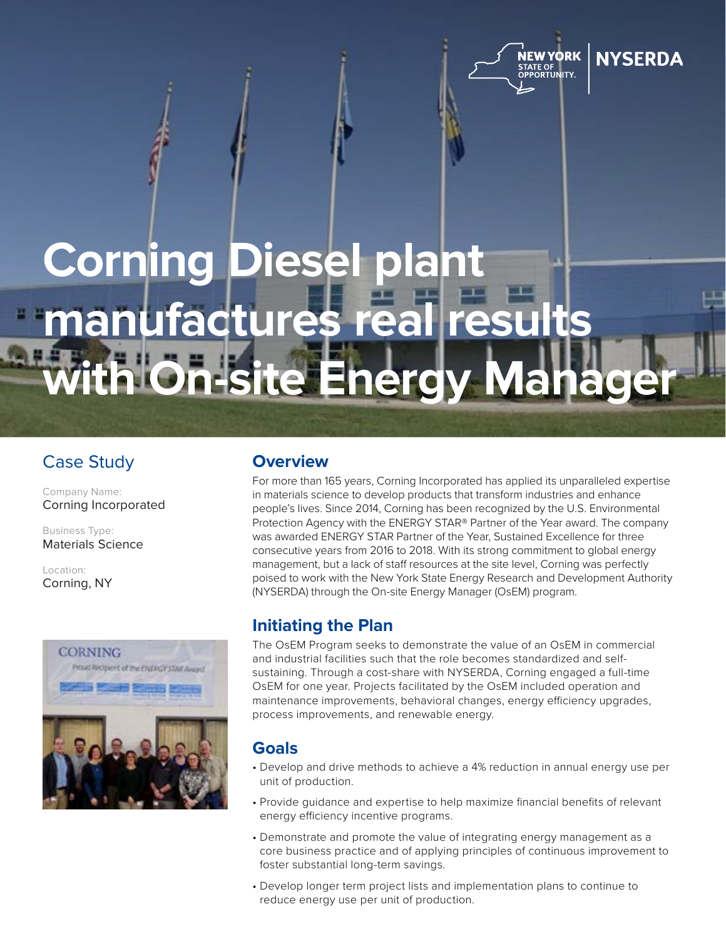

**NYSFRDA** 

# **Corning Diesel plant**  manufactures r th On-site Energy Manage

## Case Study

Company Name: Corning Incorporated

Business Type: Materials Science

Location: Corning, NY



## **Overview**

For more than 165 years, Corning Incorporated has applied its unparalleled expertise in materials science to develop products that transform industries and enhance people's lives. Since 2014, Corning has been recognized by the U.S. Environmental Protection Agency with the ENERGY STAR® Partner of the Year award. The company was awarded ENERGY STAR Partner of the Year, Sustained Excellence for three consecutive years from 2016 to 2018. With its strong commitment to global energy management, but a lack of staff resources at the site level, Corning was perfectly poised to work with the New York State Energy Research and Development Authority (NYSERDA) through the On-site Energy Manager (OsEM) program.

### **Initiating the Plan**

The OsEM Program seeks to demonstrate the value of an OsEM in commercial and industrial facilities such that the role becomes standardized and selfsustaining. Through a cost-share with NYSERDA, Corning engaged a full-time OsEM for one year. Projects facilitated by the OsEM included operation and maintenance improvements, behavioral changes, energy efficiency upgrades, process improvements, and renewable energy.

## **Goals**

- Develop and drive methods to achieve a 4% reduction in annual energy use per unit of production.
- Provide guidance and expertise to help maximize financial benefits of relevant energy efficiency incentive programs.
- Demonstrate and promote the value of integrating energy management as a core business practice and of applying principles of continuous improvement to foster substantial long-term savings.
- Develop longer term project lists and implementation plans to continue to reduce energy use per unit of production.